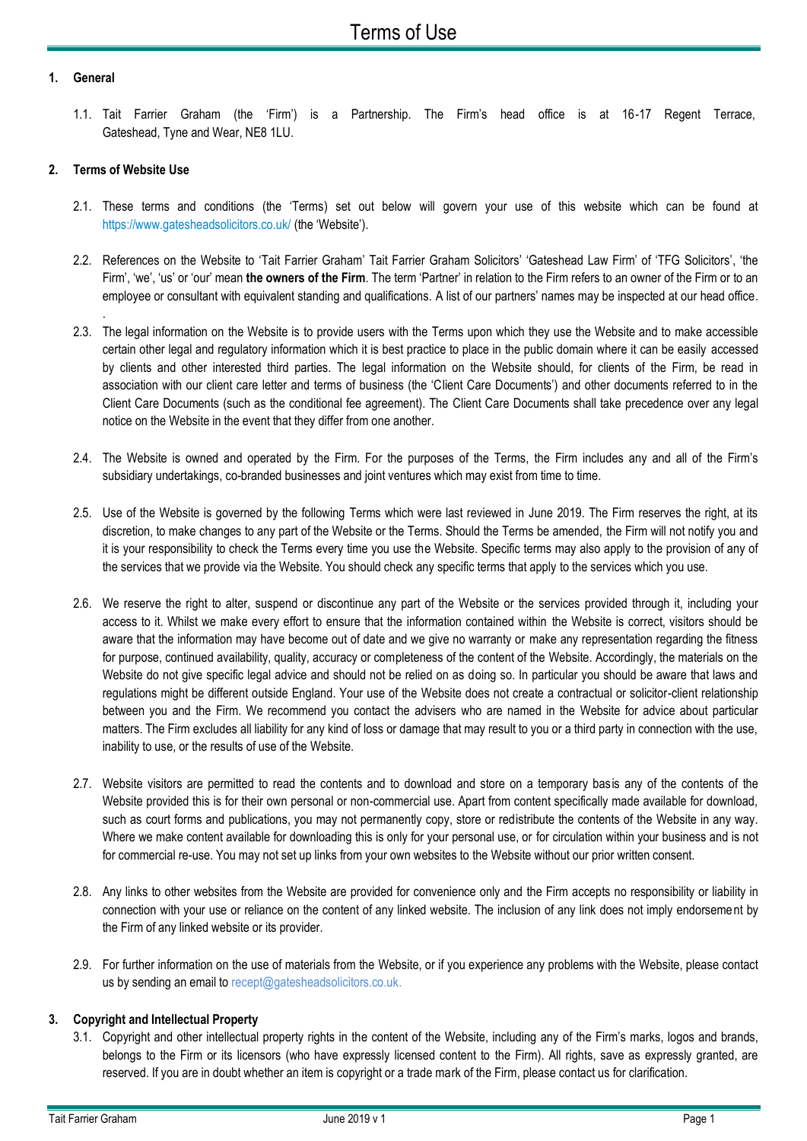### **1. General**

1.1. Tait Farrier Graham (the 'Firm') is a Partnership. The Firm's head office is at 16-17 Regent Terrace, Gateshead, Tyne and Wear, NE8 1LU.

# **2. Terms of Website Use**

.

- 2.1. These terms and conditions (the 'Terms) set out below will govern your use of this website which can be found at <https://www.gatesheadsolicitors.co.uk/> (the 'Website').
- 2.2. References on the Website to 'Tait Farrier Graham' Tait Farrier Graham Solicitors' 'Gateshead Law Firm' of 'TFG Solicitors', 'the Firm', 'we', 'us' or 'our' mean **the owners of the Firm**. The term 'Partner' in relation to the Firm refers to an owner of the Firm or to an employee or consultant with equivalent standing and qualifications. A list of our partners' names may be inspected at our head office.
- 2.3. The legal information on the Website is to provide users with the Terms upon which they use the Website and to make accessible certain other legal and regulatory information which it is best practice to place in the public domain where it can be easily accessed by clients and other interested third parties. The legal information on the Website should, for clients of the Firm, be read in association with our client care letter and terms of business (the 'Client Care Documents') and other documents referred to in the Client Care Documents (such as the conditional fee agreement). The Client Care Documents shall take precedence over any legal notice on the Website in the event that they differ from one another.
- 2.4. The Website is owned and operated by the Firm. For the purposes of the Terms, the Firm includes any and all of the Firm's subsidiary undertakings, co-branded businesses and joint ventures which may exist from time to time.
- 2.5. Use of the Website is governed by the following Terms which were last reviewed in June 2019. The Firm reserves the right, at its discretion, to make changes to any part of the Website or the Terms. Should the Terms be amended, the Firm will not notify you and it is your responsibility to check the Terms every time you use the Website. Specific terms may also apply to the provision of any of the services that we provide via the Website. You should check any specific terms that apply to the services which you use.
- 2.6. We reserve the right to alter, suspend or discontinue any part of the Website or the services provided through it, including your access to it. Whilst we make every effort to ensure that the information contained within the Website is correct, visitors should be aware that the information may have become out of date and we give no warranty or make any representation regarding the fitness for purpose, continued availability, quality, accuracy or completeness of the content of the Website. Accordingly, the materials on the Website do not give specific legal advice and should not be relied on as doing so. In particular you should be aware that laws and regulations might be different outside England. Your use of the Website does not create a contractual or solicitor-client relationship between you and the Firm. We recommend you contact the advisers who are named in the Website for advice about particular matters. The Firm excludes all liability for any kind of loss or damage that may result to you or a third party in connection with the use, inability to use, or the results of use of the Website.
- 2.7. Website visitors are permitted to read the contents and to download and store on a temporary basis any of the contents of the Website provided this is for their own personal or non-commercial use. Apart from content specifically made available for download, such as court forms and publications, you may not permanently copy, store or redistribute the contents of the Website in any way. Where we make content available for downloading this is only for your personal use, or for circulation within your business and is not for commercial re-use. You may not set up links from your own websites to the Website without our prior written consent.
- 2.8. Any links to other websites from the Website are provided for convenience only and the Firm accepts no responsibility or liability in connection with your use or reliance on the content of any linked website. The inclusion of any link does not imply endorsement by the Firm of any linked website or its provider.
- 2.9. For further information on the use of materials from the Website, or if you experience any problems with the Website, please contact us by sending an email to recept@gatesheadsolicitors.co.uk.

## **3. Copyright and Intellectual Property**

3.1. Copyright and other intellectual property rights in the content of the Website, including any of the Firm's marks, logos and brands, belongs to the Firm or its licensors (who have expressly licensed content to the Firm). All rights, save as expressly granted, are reserved. If you are in doubt whether an item is copyright or a trade mark of the Firm, please contact us for clarification.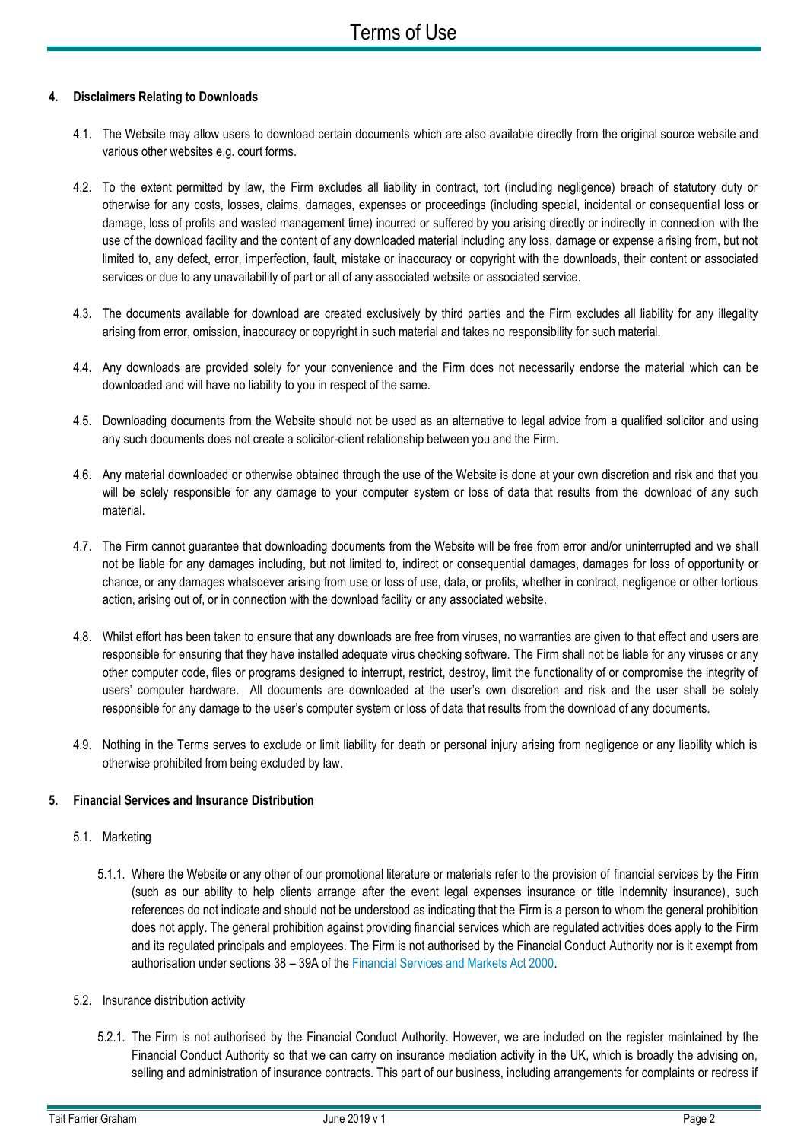## **4. Disclaimers Relating to Downloads**

- 4.1. The Website may allow users to download certain documents which are also available directly from the original source website and various other websites e.g. court forms.
- 4.2. To the extent permitted by law, the Firm excludes all liability in contract, tort (including negligence) breach of statutory duty or otherwise for any costs, losses, claims, damages, expenses or proceedings (including special, incidental or consequential loss or damage, loss of profits and wasted management time) incurred or suffered by you arising directly or indirectly in connection with the use of the download facility and the content of any downloaded material including any loss, damage or expense arising from, but not limited to, any defect, error, imperfection, fault, mistake or inaccuracy or copyright with the downloads, their content or associated services or due to any unavailability of part or all of any associated website or associated service.
- 4.3. The documents available for download are created exclusively by third parties and the Firm excludes all liability for any illegality arising from error, omission, inaccuracy or copyright in such material and takes no responsibility for such material.
- 4.4. Any downloads are provided solely for your convenience and the Firm does not necessarily endorse the material which can be downloaded and will have no liability to you in respect of the same.
- 4.5. Downloading documents from the Website should not be used as an alternative to legal advice from a qualified solicitor and using any such documents does not create a solicitor-client relationship between you and the Firm.
- 4.6. Any material downloaded or otherwise obtained through the use of the Website is done at your own discretion and risk and that you will be solely responsible for any damage to your computer system or loss of data that results from the download of any such material.
- 4.7. The Firm cannot guarantee that downloading documents from the Website will be free from error and/or uninterrupted and we shall not be liable for any damages including, but not limited to, indirect or consequential damages, damages for loss of opportunity or chance, or any damages whatsoever arising from use or loss of use, data, or profits, whether in contract, negligence or other tortious action, arising out of, or in connection with the download facility or any associated website.
- 4.8. Whilst effort has been taken to ensure that any downloads are free from viruses, no warranties are given to that effect and users are responsible for ensuring that they have installed adequate virus checking software. The Firm shall not be liable for any viruses or any other computer code, files or programs designed to interrupt, restrict, destroy, limit the functionality of or compromise the integrity of users' computer hardware. All documents are downloaded at the user's own discretion and risk and the user shall be solely responsible for any damage to the user's computer system or loss of data that results from the download of any documents.
- 4.9. Nothing in the Terms serves to exclude or limit liability for death or personal injury arising from negligence or any liability which is otherwise prohibited from being excluded by law.

## **5. Financial Services and Insurance Distribution**

#### 5.1. Marketing

- 5.1.1. Where the Website or any other of our promotional literature or materials refer to the provision of financial services by the Firm (such as our ability to help clients arrange after the event legal expenses insurance or title indemnity insurance), such references do not indicate and should not be understood as indicating that the Firm is a person to whom the general prohibition does not apply. The general prohibition against providing financial services which are regulated activities does apply to the Firm and its regulated principals and employees. The Firm is not authorised by the Financial Conduct Authority nor is it exempt from authorisation under sections 38 – 39A of the [Financial Services and Markets Act 2000.](http://www.legislation.gov.uk/ukpga/2000/8/contents)
- 5.2. Insurance distribution activity
	- 5.2.1. The Firm is not authorised by the Financial Conduct Authority. However, we are included on the register maintained by the Financial Conduct Authority so that we can carry on insurance mediation activity in the UK, which is broadly the advising on, selling and administration of insurance contracts. This part of our business, including arrangements for complaints or redress if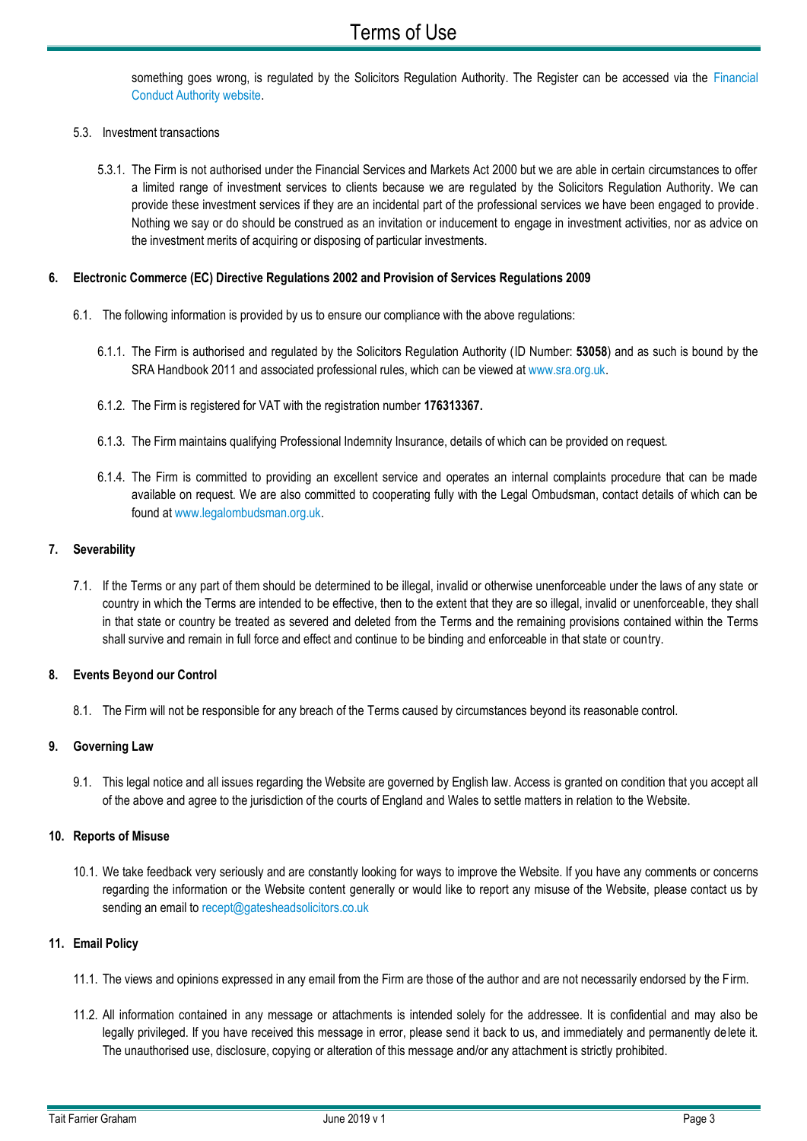something goes wrong, is regulated by the Solicitors Regulation Authority. The Register can be accessed via the Financial [Conduct Authority website.](http://www.fca.org.uk/firms/financial-services-register)

## 5.3. Investment transactions

5.3.1. The Firm is not authorised under the Financial Services and Markets Act 2000 but we are able in certain circumstances to offer a limited range of investment services to clients because we are regulated by the Solicitors Regulation Authority. We can provide these investment services if they are an incidental part of the professional services we have been engaged to provide. Nothing we say or do should be construed as an invitation or inducement to engage in investment activities, nor as advice on the investment merits of acquiring or disposing of particular investments.

## **6. Electronic Commerce (EC) Directive Regulations 2002 and Provision of Services Regulations 2009**

- 6.1. The following information is provided by us to ensure our compliance with the above regulations:
	- 6.1.1. The Firm is authorised and regulated by the Solicitors Regulation Authority (ID Number: **53058**) and as such is bound by the SRA Handbook 2011 and associated professional rules, which can be viewed at [www.sra.org.uk.](http://www.sra.org.uk/)
	- 6.1.2. The Firm is registered for VAT with the registration number **176313367.**
	- 6.1.3. The Firm maintains qualifying Professional Indemnity Insurance, details of which can be provided on request.
	- 6.1.4. The Firm is committed to providing an excellent service and operates an internal complaints procedure that can be made available on request. We are also committed to cooperating fully with the Legal Ombudsman, contact details of which can be found at [www.legalombudsman.org.uk.](http://www.legalombudsman.org.uk/)

## **7. Severability**

7.1. If the Terms or any part of them should be determined to be illegal, invalid or otherwise unenforceable under the laws of any state or country in which the Terms are intended to be effective, then to the extent that they are so illegal, invalid or unenforceable, they shall in that state or country be treated as severed and deleted from the Terms and the remaining provisions contained within the Terms shall survive and remain in full force and effect and continue to be binding and enforceable in that state or country.

#### **8. Events Beyond our Control**

8.1. The Firm will not be responsible for any breach of the Terms caused by circumstances beyond its reasonable control.

## **9. Governing Law**

9.1. This legal notice and all issues regarding the Website are governed by English law. Access is granted on condition that you accept all of the above and agree to the jurisdiction of the courts of England and Wales to settle matters in relation to the Website.

## **10. Reports of Misuse**

10.1. We take feedback very seriously and are constantly looking for ways to improve the Website. If you have any comments or concerns regarding the information or the Website content generally or would like to report any misuse of the Website, please contact us by sending an email to [recept@gatesheadsolicitors.co.uk](mailto:recept@gatesheadsolicitors.co.uk)

## **11. Email Policy**

- 11.1. The views and opinions expressed in any email from the Firm are those of the author and are not necessarily endorsed by the Firm.
- 11.2. All information contained in any message or attachments is intended solely for the addressee. It is confidential and may also be legally privileged. If you have received this message in error, please send it back to us, and immediately and permanently delete it. The unauthorised use, disclosure, copying or alteration of this message and/or any attachment is strictly prohibited.